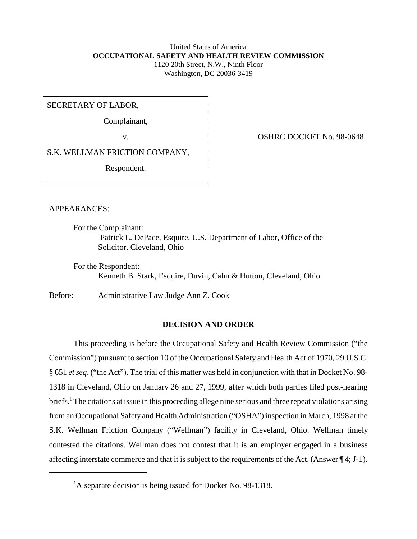# United States of America **OCCUPATIONAL SAFETY AND HEALTH REVIEW COMMISSION** 1120 20th Street, N.W., Ninth Floor Washington, DC 20036-3419

SECRETARY OF LABOR,

Complainant,

v. COSHRC DOCKET No. 98-0648

S.K. WELLMAN FRICTION COMPANY,

Respondent.

APPEARANCES:

For the Complainant:

 Patrick L. DePace, Esquire, U.S. Department of Labor, Office of the Solicitor, Cleveland, Ohio

For the Respondent: Kenneth B. Stark, Esquire, Duvin, Cahn & Hutton, Cleveland, Ohio

Before: Administrative Law Judge Ann Z. Cook

# **DECISION AND ORDER**

This proceeding is before the Occupational Safety and Health Review Commission ("the Commission") pursuant to section 10 of the Occupational Safety and Health Act of 1970, 29 U.S.C. § 651 *et seq*. ("the Act"). The trial of this matter was held in conjunction with that in Docket No. 98- 1318 in Cleveland, Ohio on January 26 and 27, 1999, after which both parties filed post-hearing briefs.<sup>1</sup> The citations at issue in this proceeding allege nine serious and three repeat violations arising from an Occupational Safety and Health Administration ("OSHA") inspection in March, 1998 at the S.K. Wellman Friction Company ("Wellman") facility in Cleveland, Ohio. Wellman timely contested the citations. Wellman does not contest that it is an employer engaged in a business affecting interstate commerce and that it is subject to the requirements of the Act. (Answer ¶ 4; J-1).

<sup>&</sup>lt;sup>1</sup>A separate decision is being issued for Docket No. 98-1318.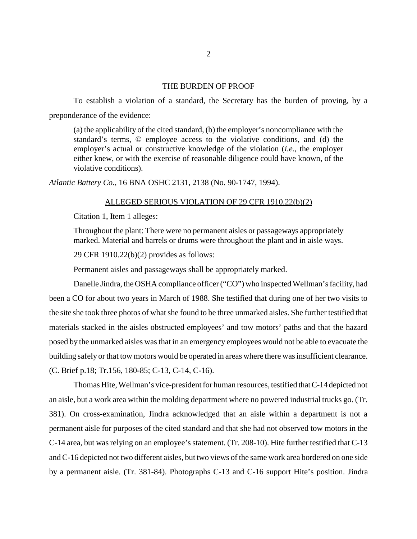## THE BURDEN OF PROOF

To establish a violation of a standard, the Secretary has the burden of proving, by a preponderance of the evidence:

(a) the applicability of the cited standard, (b) the employer's noncompliance with the standard's terms, © employee access to the violative conditions, and (d) the employer's actual or constructive knowledge of the violation (*i.e.*, the employer either knew, or with the exercise of reasonable diligence could have known, of the violative conditions).

*Atlantic Battery Co.,* 16 BNA OSHC 2131, 2138 (No. 90-1747, 1994).

# ALLEGED SERIOUS VIOLATION OF 29 CFR 1910.22(b)(2)

Citation 1, Item 1 alleges:

Throughout the plant: There were no permanent aisles or passageways appropriately marked. Material and barrels or drums were throughout the plant and in aisle ways.

29 CFR 1910.22(b)(2) provides as follows:

Permanent aisles and passageways shall be appropriately marked.

Danelle Jindra, the OSHA compliance officer ("CO") who inspected Wellman's facility, had been a CO for about two years in March of 1988. She testified that during one of her two visits to the site she took three photos of what she found to be three unmarked aisles. She further testified that materials stacked in the aisles obstructed employees' and tow motors' paths and that the hazard posed by the unmarked aisles was that in an emergency employees would not be able to evacuate the building safely or that tow motors would be operated in areas where there was insufficient clearance. (C. Brief p.18; Tr.156, 180-85; C-13, C-14, C-16).

Thomas Hite, Wellman's vice-president for human resources, testified that C-14 depicted not an aisle, but a work area within the molding department where no powered industrial trucks go. (Tr. 381). On cross-examination, Jindra acknowledged that an aisle within a department is not a permanent aisle for purposes of the cited standard and that she had not observed tow motors in the C-14 area, but was relying on an employee's statement. (Tr. 208-10). Hite further testified that C-13 and C-16 depicted not two different aisles, but two views of the same work area bordered on one side by a permanent aisle. (Tr. 381-84). Photographs C-13 and C-16 support Hite's position. Jindra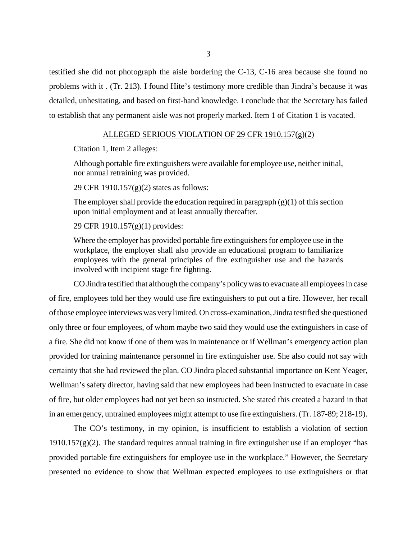testified she did not photograph the aisle bordering the C-13, C-16 area because she found no problems with it . (Tr. 213). I found Hite's testimony more credible than Jindra's because it was detailed, unhesitating, and based on first-hand knowledge. I conclude that the Secretary has failed to establish that any permanent aisle was not properly marked. Item 1 of Citation 1 is vacated.

# ALLEGED SERIOUS VIOLATION OF 29 CFR 1910.157(g)(2)

Citation 1, Item 2 alleges:

Although portable fire extinguishers were available for employee use, neither initial, nor annual retraining was provided.

29 CFR 1910.157(g)(2) states as follows:

The employer shall provide the education required in paragraph  $(g)(1)$  of this section upon initial employment and at least annually thereafter.

29 CFR 1910.157(g)(1) provides:

Where the employer has provided portable fire extinguishers for employee use in the workplace, the employer shall also provide an educational program to familiarize employees with the general principles of fire extinguisher use and the hazards involved with incipient stage fire fighting.

CO Jindra testified that although the company's policy was to evacuate all employees in case of fire, employees told her they would use fire extinguishers to put out a fire. However, her recall of those employee interviews was very limited. On cross-examination, Jindra testified she questioned only three or four employees, of whom maybe two said they would use the extinguishers in case of a fire. She did not know if one of them was in maintenance or if Wellman's emergency action plan provided for training maintenance personnel in fire extinguisher use. She also could not say with certainty that she had reviewed the plan. CO Jindra placed substantial importance on Kent Yeager, Wellman's safety director, having said that new employees had been instructed to evacuate in case of fire, but older employees had not yet been so instructed. She stated this created a hazard in that in an emergency, untrained employees might attempt to use fire extinguishers. (Tr. 187-89; 218-19).

The CO's testimony, in my opinion, is insufficient to establish a violation of section  $1910.157(g)(2)$ . The standard requires annual training in fire extinguisher use if an employer "has provided portable fire extinguishers for employee use in the workplace." However, the Secretary presented no evidence to show that Wellman expected employees to use extinguishers or that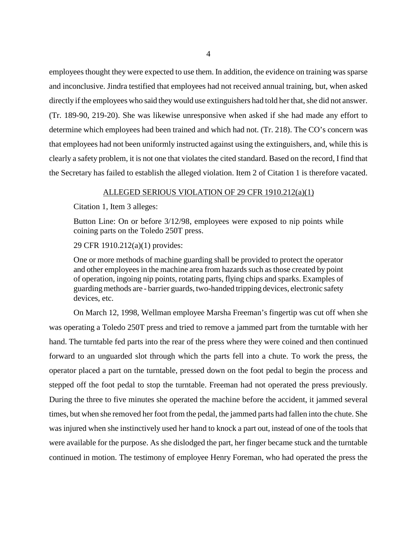employees thought they were expected to use them. In addition, the evidence on training was sparse and inconclusive. Jindra testified that employees had not received annual training, but, when asked directly if the employees who said they would use extinguishers had told her that, she did not answer. (Tr. 189-90, 219-20). She was likewise unresponsive when asked if she had made any effort to determine which employees had been trained and which had not. (Tr. 218). The CO's concern was that employees had not been uniformly instructed against using the extinguishers, and, while this is clearly a safety problem, it is not one that violates the cited standard. Based on the record, I find that the Secretary has failed to establish the alleged violation. Item 2 of Citation 1 is therefore vacated.

# ALLEGED SERIOUS VIOLATION OF 29 CFR 1910.212(a)(1)

Citation 1, Item 3 alleges:

Button Line: On or before 3/12/98, employees were exposed to nip points while coining parts on the Toledo 250T press.

29 CFR 1910.212(a)(1) provides:

One or more methods of machine guarding shall be provided to protect the operator and other employees in the machine area from hazards such as those created by point of operation, ingoing nip points, rotating parts, flying chips and sparks. Examples of guarding methods are - barrier guards, two-handed tripping devices, electronic safety devices, etc.

On March 12, 1998, Wellman employee Marsha Freeman's fingertip was cut off when she was operating a Toledo 250T press and tried to remove a jammed part from the turntable with her hand. The turntable fed parts into the rear of the press where they were coined and then continued forward to an unguarded slot through which the parts fell into a chute. To work the press, the operator placed a part on the turntable, pressed down on the foot pedal to begin the process and stepped off the foot pedal to stop the turntable. Freeman had not operated the press previously. During the three to five minutes she operated the machine before the accident, it jammed several times, but when she removed her foot from the pedal, the jammed parts had fallen into the chute. She was injured when she instinctively used her hand to knock a part out, instead of one of the tools that were available for the purpose. As she dislodged the part, her finger became stuck and the turntable continued in motion. The testimony of employee Henry Foreman, who had operated the press the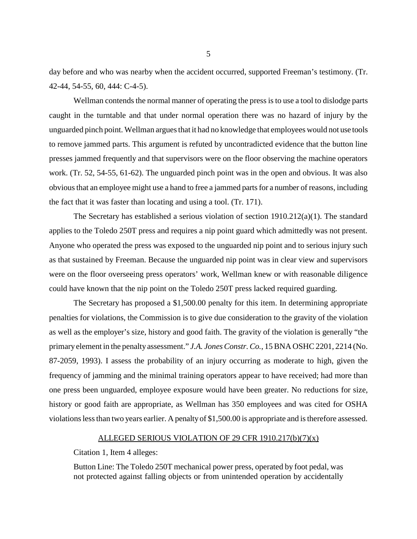day before and who was nearby when the accident occurred, supported Freeman's testimony. (Tr. 42-44, 54-55, 60, 444: C-4-5).

Wellman contends the normal manner of operating the press is to use a tool to dislodge parts caught in the turntable and that under normal operation there was no hazard of injury by the unguarded pinch point. Wellman argues that it had no knowledge that employees would not use tools to remove jammed parts. This argument is refuted by uncontradicted evidence that the button line presses jammed frequently and that supervisors were on the floor observing the machine operators work. (Tr. 52, 54-55, 61-62). The unguarded pinch point was in the open and obvious. It was also obvious that an employee might use a hand to free a jammed parts for a number of reasons, including the fact that it was faster than locating and using a tool. (Tr. 171).

The Secretary has established a serious violation of section 1910.212(a)(1). The standard applies to the Toledo 250T press and requires a nip point guard which admittedly was not present. Anyone who operated the press was exposed to the unguarded nip point and to serious injury such as that sustained by Freeman. Because the unguarded nip point was in clear view and supervisors were on the floor overseeing press operators' work, Wellman knew or with reasonable diligence could have known that the nip point on the Toledo 250T press lacked required guarding.

The Secretary has proposed a \$1,500.00 penalty for this item. In determining appropriate penalties for violations, the Commission is to give due consideration to the gravity of the violation as well as the employer's size, history and good faith. The gravity of the violation is generally "the primary element in the penalty assessment." *J.A. Jones Constr. Co.*, 15 BNA OSHC 2201, 2214 (No. 87-2059, 1993). I assess the probability of an injury occurring as moderate to high, given the frequency of jamming and the minimal training operators appear to have received; had more than one press been unguarded, employee exposure would have been greater. No reductions for size, history or good faith are appropriate, as Wellman has 350 employees and was cited for OSHA violations less than two years earlier. A penalty of \$1,500.00 is appropriate and is therefore assessed.

# ALLEGED SERIOUS VIOLATION OF 29 CFR 1910.217(b)(7)(x)

Citation 1, Item 4 alleges:

Button Line: The Toledo 250T mechanical power press, operated by foot pedal, was not protected against falling objects or from unintended operation by accidentally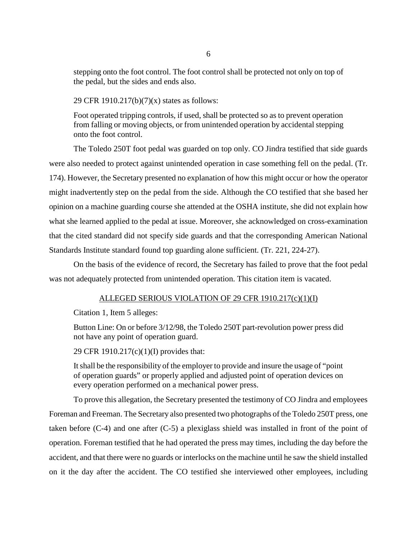stepping onto the foot control. The foot control shall be protected not only on top of the pedal, but the sides and ends also.

29 CFR 1910.217(b)(7)(x) states as follows:

Foot operated tripping controls, if used, shall be protected so as to prevent operation from falling or moving objects, or from unintended operation by accidental stepping onto the foot control.

The Toledo 250T foot pedal was guarded on top only. CO Jindra testified that side guards were also needed to protect against unintended operation in case something fell on the pedal. (Tr. 174). However, the Secretary presented no explanation of how this might occur or how the operator might inadvertently step on the pedal from the side. Although the CO testified that she based her opinion on a machine guarding course she attended at the OSHA institute, she did not explain how what she learned applied to the pedal at issue. Moreover, she acknowledged on cross-examination that the cited standard did not specify side guards and that the corresponding American National Standards Institute standard found top guarding alone sufficient. (Tr. 221, 224-27).

On the basis of the evidence of record, the Secretary has failed to prove that the foot pedal was not adequately protected from unintended operation. This citation item is vacated.

# ALLEGED SERIOUS VIOLATION OF 29 CFR 1910.217(c)(1)(I)

Citation 1, Item 5 alleges:

Button Line: On or before 3/12/98, the Toledo 250T part-revolution power press did not have any point of operation guard.

29 CFR 1910.217(c)(1)(I) provides that:

It shall be the responsibility of the employer to provide and insure the usage of "point of operation guards" or properly applied and adjusted point of operation devices on every operation performed on a mechanical power press.

To prove this allegation, the Secretary presented the testimony of CO Jindra and employees Foreman and Freeman. The Secretary also presented two photographs of the Toledo 250T press, one taken before (C-4) and one after (C-5) a plexiglass shield was installed in front of the point of operation. Foreman testified that he had operated the press may times, including the day before the accident, and that there were no guards or interlocks on the machine until he saw the shield installed on it the day after the accident. The CO testified she interviewed other employees, including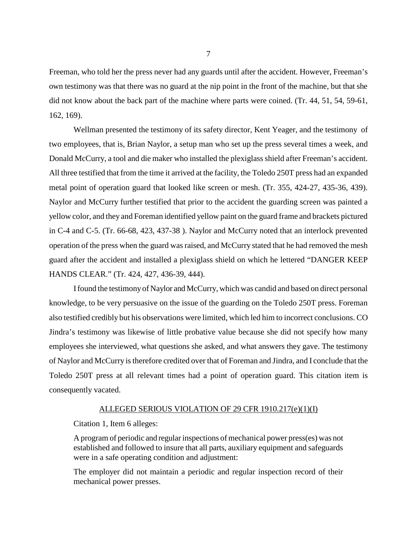Freeman, who told her the press never had any guards until after the accident. However, Freeman's own testimony was that there was no guard at the nip point in the front of the machine, but that she did not know about the back part of the machine where parts were coined. (Tr. 44, 51, 54, 59-61, 162, 169).

Wellman presented the testimony of its safety director, Kent Yeager, and the testimony of two employees, that is, Brian Naylor, a setup man who set up the press several times a week, and Donald McCurry, a tool and die maker who installed the plexiglass shield after Freeman's accident. All three testified that from the time it arrived at the facility, the Toledo 250T press had an expanded metal point of operation guard that looked like screen or mesh. (Tr. 355, 424-27, 435-36, 439). Naylor and McCurry further testified that prior to the accident the guarding screen was painted a yellow color, and they and Foreman identified yellow paint on the guard frame and brackets pictured in C-4 and C-5. (Tr. 66-68, 423, 437-38 ). Naylor and McCurry noted that an interlock prevented operation of the press when the guard was raised, and McCurry stated that he had removed the mesh guard after the accident and installed a plexiglass shield on which he lettered "DANGER KEEP HANDS CLEAR." (Tr. 424, 427, 436-39, 444).

I found the testimony of Naylor and McCurry, which was candid and based on direct personal knowledge, to be very persuasive on the issue of the guarding on the Toledo 250T press. Foreman also testified credibly but his observations were limited, which led him to incorrect conclusions. CO Jindra's testimony was likewise of little probative value because she did not specify how many employees she interviewed, what questions she asked, and what answers they gave. The testimony of Naylor and McCurry is therefore credited over that of Foreman and Jindra, and I conclude that the Toledo 250T press at all relevant times had a point of operation guard. This citation item is consequently vacated.

## ALLEGED SERIOUS VIOLATION OF 29 CFR 1910.217(e)(1)(I)

Citation 1, Item 6 alleges:

A program of periodic and regular inspections of mechanical power press(es) was not established and followed to insure that all parts, auxiliary equipment and safeguards were in a safe operating condition and adjustment:

The employer did not maintain a periodic and regular inspection record of their mechanical power presses.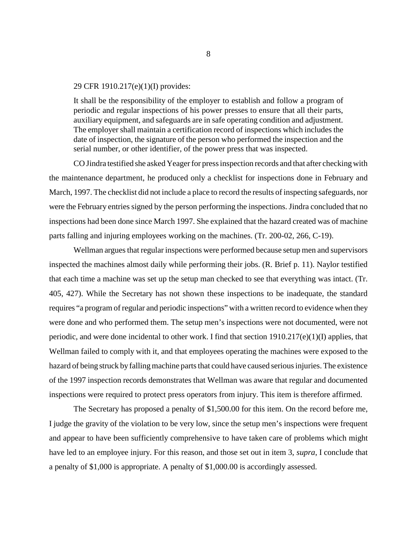## 29 CFR 1910.217(e)(1)(I) provides:

It shall be the responsibility of the employer to establish and follow a program of periodic and regular inspections of his power presses to ensure that all their parts, auxiliary equipment, and safeguards are in safe operating condition and adjustment. The employer shall maintain a certification record of inspections which includes the date of inspection, the signature of the person who performed the inspection and the serial number, or other identifier, of the power press that was inspected.

CO Jindra testified she asked Yeager for press inspection records and that after checking with the maintenance department, he produced only a checklist for inspections done in February and March, 1997. The checklist did not include a place to record the results of inspecting safeguards, nor were the February entries signed by the person performing the inspections. Jindra concluded that no inspections had been done since March 1997. She explained that the hazard created was of machine parts falling and injuring employees working on the machines. (Tr. 200-02, 266, C-19).

Wellman argues that regular inspections were performed because setup men and supervisors inspected the machines almost daily while performing their jobs. (R. Brief p. 11). Naylor testified that each time a machine was set up the setup man checked to see that everything was intact. (Tr. 405, 427). While the Secretary has not shown these inspections to be inadequate, the standard requires "a program of regular and periodic inspections" with a written record to evidence when they were done and who performed them. The setup men's inspections were not documented, were not periodic, and were done incidental to other work. I find that section 1910.217(e)(1)(I) applies, that Wellman failed to comply with it, and that employees operating the machines were exposed to the hazard of being struck by falling machine parts that could have caused serious injuries. The existence of the 1997 inspection records demonstrates that Wellman was aware that regular and documented inspections were required to protect press operators from injury. This item is therefore affirmed.

The Secretary has proposed a penalty of \$1,500.00 for this item. On the record before me, I judge the gravity of the violation to be very low, since the setup men's inspections were frequent and appear to have been sufficiently comprehensive to have taken care of problems which might have led to an employee injury. For this reason, and those set out in item 3, *supra*, I conclude that a penalty of \$1,000 is appropriate. A penalty of \$1,000.00 is accordingly assessed.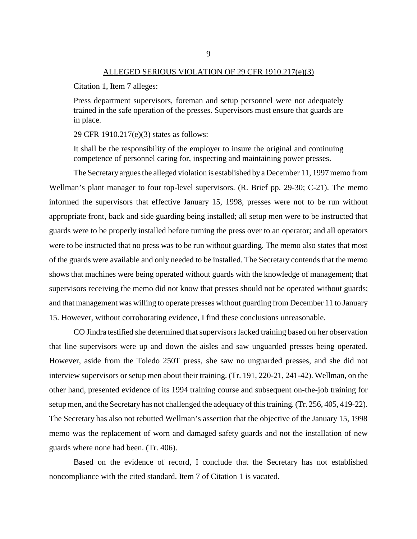#### ALLEGED SERIOUS VIOLATION OF 29 CFR 1910.217(e)(3)

Citation 1, Item 7 alleges:

Press department supervisors, foreman and setup personnel were not adequately trained in the safe operation of the presses. Supervisors must ensure that guards are in place.

29 CFR 1910.217(e)(3) states as follows:

It shall be the responsibility of the employer to insure the original and continuing competence of personnel caring for, inspecting and maintaining power presses.

The Secretary argues the alleged violation is established by a December 11, 1997 memo from Wellman's plant manager to four top-level supervisors. (R. Brief pp. 29-30; C-21). The memo informed the supervisors that effective January 15, 1998, presses were not to be run without appropriate front, back and side guarding being installed; all setup men were to be instructed that guards were to be properly installed before turning the press over to an operator; and all operators were to be instructed that no press was to be run without guarding. The memo also states that most of the guards were available and only needed to be installed. The Secretary contends that the memo shows that machines were being operated without guards with the knowledge of management; that supervisors receiving the memo did not know that presses should not be operated without guards; and that management was willing to operate presses without guarding from December 11 to January 15. However, without corroborating evidence, I find these conclusions unreasonable.

CO Jindra testified she determined that supervisors lacked training based on her observation that line supervisors were up and down the aisles and saw unguarded presses being operated. However, aside from the Toledo 250T press, she saw no unguarded presses, and she did not interview supervisors or setup men about their training. (Tr. 191, 220-21, 241-42). Wellman, on the other hand, presented evidence of its 1994 training course and subsequent on-the-job training for setup men, and the Secretary has not challenged the adequacy of this training. (Tr. 256, 405, 419-22). The Secretary has also not rebutted Wellman's assertion that the objective of the January 15, 1998 memo was the replacement of worn and damaged safety guards and not the installation of new guards where none had been. (Tr. 406).

Based on the evidence of record, I conclude that the Secretary has not established noncompliance with the cited standard. Item 7 of Citation 1 is vacated.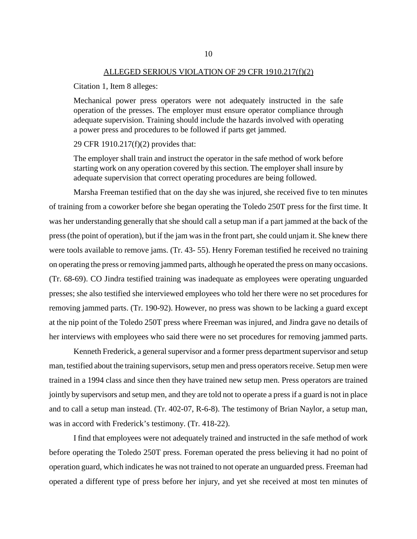#### ALLEGED SERIOUS VIOLATION OF 29 CFR 1910.217(f)(2)

Citation 1, Item 8 alleges:

Mechanical power press operators were not adequately instructed in the safe operation of the presses. The employer must ensure operator compliance through adequate supervision. Training should include the hazards involved with operating a power press and procedures to be followed if parts get jammed.

29 CFR 1910.217(f)(2) provides that:

The employer shall train and instruct the operator in the safe method of work before starting work on any operation covered by this section. The employer shall insure by adequate supervision that correct operating procedures are being followed.

Marsha Freeman testified that on the day she was injured, she received five to ten minutes of training from a coworker before she began operating the Toledo 250T press for the first time. It was her understanding generally that she should call a setup man if a part jammed at the back of the press (the point of operation), but if the jam was in the front part, she could unjam it. She knew there were tools available to remove jams. (Tr. 43- 55). Henry Foreman testified he received no training on operating the press or removing jammed parts, although he operated the press on many occasions. (Tr. 68-69). CO Jindra testified training was inadequate as employees were operating unguarded presses; she also testified she interviewed employees who told her there were no set procedures for removing jammed parts. (Tr. 190-92). However, no press was shown to be lacking a guard except at the nip point of the Toledo 250T press where Freeman was injured, and Jindra gave no details of her interviews with employees who said there were no set procedures for removing jammed parts.

Kenneth Frederick, a general supervisor and a former press department supervisor and setup man, testified about the training supervisors, setup men and press operators receive. Setup men were trained in a 1994 class and since then they have trained new setup men. Press operators are trained jointly by supervisors and setup men, and they are told not to operate a press if a guard is not in place and to call a setup man instead. (Tr. 402-07, R-6-8). The testimony of Brian Naylor, a setup man, was in accord with Frederick's testimony. (Tr. 418-22).

I find that employees were not adequately trained and instructed in the safe method of work before operating the Toledo 250T press. Foreman operated the press believing it had no point of operation guard, which indicates he was not trained to not operate an unguarded press. Freeman had operated a different type of press before her injury, and yet she received at most ten minutes of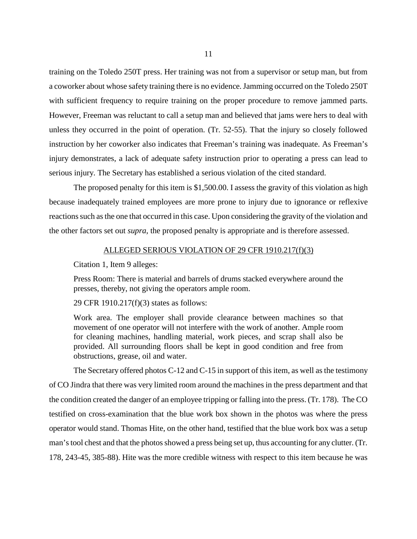training on the Toledo 250T press. Her training was not from a supervisor or setup man, but from a coworker about whose safety training there is no evidence. Jamming occurred on the Toledo 250T with sufficient frequency to require training on the proper procedure to remove jammed parts. However, Freeman was reluctant to call a setup man and believed that jams were hers to deal with unless they occurred in the point of operation. (Tr. 52-55). That the injury so closely followed instruction by her coworker also indicates that Freeman's training was inadequate. As Freeman's injury demonstrates, a lack of adequate safety instruction prior to operating a press can lead to serious injury. The Secretary has established a serious violation of the cited standard.

The proposed penalty for this item is \$1,500.00. I assess the gravity of this violation as high because inadequately trained employees are more prone to injury due to ignorance or reflexive reactions such as the one that occurred in this case. Upon considering the gravity of the violation and the other factors set out *supra*, the proposed penalty is appropriate and is therefore assessed.

## ALLEGED SERIOUS VIOLATION OF 29 CFR 1910.217(f)(3)

Citation 1, Item 9 alleges:

Press Room: There is material and barrels of drums stacked everywhere around the presses, thereby, not giving the operators ample room.

29 CFR 1910.217(f)(3) states as follows:

Work area. The employer shall provide clearance between machines so that movement of one operator will not interfere with the work of another. Ample room for cleaning machines, handling material, work pieces, and scrap shall also be provided. All surrounding floors shall be kept in good condition and free from obstructions, grease, oil and water.

The Secretary offered photos C-12 and C-15 in support of this item, as well as the testimony of CO Jindra that there was very limited room around the machines in the press department and that the condition created the danger of an employee tripping or falling into the press. (Tr. 178). The CO testified on cross-examination that the blue work box shown in the photos was where the press operator would stand. Thomas Hite, on the other hand, testified that the blue work box was a setup man's tool chest and that the photos showed a press being set up, thus accounting for any clutter. (Tr. 178, 243-45, 385-88). Hite was the more credible witness with respect to this item because he was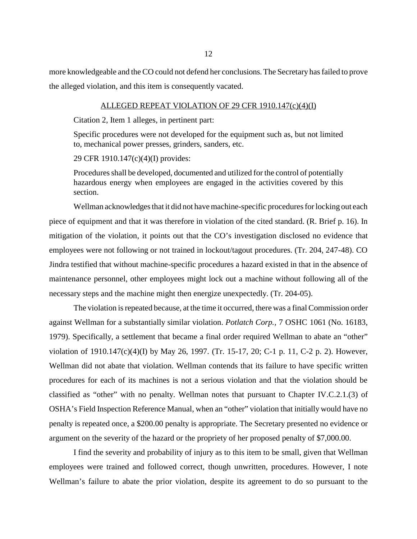more knowledgeable and the CO could not defend her conclusions. The Secretary has failed to prove the alleged violation, and this item is consequently vacated.

# ALLEGED REPEAT VIOLATION OF 29 CFR 1910.147(c)(4)(I)

Citation 2, Item 1 alleges, in pertinent part:

Specific procedures were not developed for the equipment such as, but not limited to, mechanical power presses, grinders, sanders, etc.

29 CFR 1910.147(c)(4)(I) provides:

Procedures shall be developed, documented and utilized for the control of potentially hazardous energy when employees are engaged in the activities covered by this section.

Wellman acknowledges that it did not have machine-specific procedures for locking out each piece of equipment and that it was therefore in violation of the cited standard. (R. Brief p. 16). In mitigation of the violation, it points out that the CO's investigation disclosed no evidence that employees were not following or not trained in lockout/tagout procedures. (Tr. 204, 247-48). CO Jindra testified that without machine-specific procedures a hazard existed in that in the absence of maintenance personnel, other employees might lock out a machine without following all of the necessary steps and the machine might then energize unexpectedly. (Tr. 204-05).

The violation is repeated because, at the time it occurred, there was a final Commission order against Wellman for a substantially similar violation. *Potlatch Corp.,* 7 OSHC 1061 (No. 16183, 1979). Specifically, a settlement that became a final order required Wellman to abate an "other" violation of 1910.147(c)(4)(I) by May 26, 1997. (Tr. 15-17, 20; C-1 p. 11, C-2 p. 2). However, Wellman did not abate that violation. Wellman contends that its failure to have specific written procedures for each of its machines is not a serious violation and that the violation should be classified as "other" with no penalty. Wellman notes that pursuant to Chapter IV.C.2.1.(3) of OSHA's Field Inspection Reference Manual, when an "other" violation that initially would have no penalty is repeated once, a \$200.00 penalty is appropriate. The Secretary presented no evidence or argument on the severity of the hazard or the propriety of her proposed penalty of \$7,000.00.

I find the severity and probability of injury as to this item to be small, given that Wellman employees were trained and followed correct, though unwritten, procedures. However, I note Wellman's failure to abate the prior violation, despite its agreement to do so pursuant to the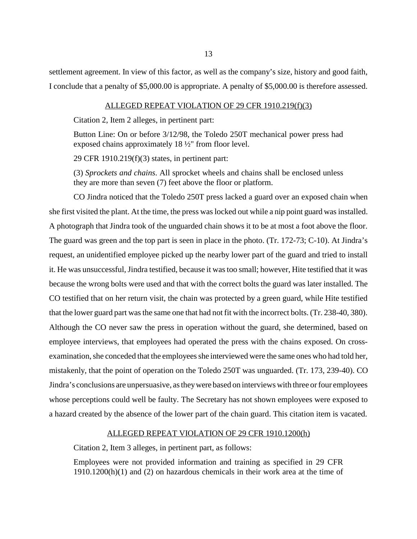settlement agreement. In view of this factor, as well as the company's size, history and good faith, I conclude that a penalty of \$5,000.00 is appropriate. A penalty of \$5,000.00 is therefore assessed.

## ALLEGED REPEAT VIOLATION OF 29 CFR 1910.219(f)(3)

Citation 2, Item 2 alleges, in pertinent part:

Button Line: On or before 3/12/98, the Toledo 250T mechanical power press had exposed chains approximately 18 ½" from floor level.

29 CFR 1910.219(f)(3) states, in pertinent part:

(3) *Sprockets and chains*. All sprocket wheels and chains shall be enclosed unless they are more than seven (7) feet above the floor or platform.

CO Jindra noticed that the Toledo 250T press lacked a guard over an exposed chain when she first visited the plant. At the time, the press was locked out while a nip point guard was installed. A photograph that Jindra took of the unguarded chain shows it to be at most a foot above the floor. The guard was green and the top part is seen in place in the photo. (Tr. 172-73; C-10). At Jindra's request, an unidentified employee picked up the nearby lower part of the guard and tried to install it. He was unsuccessful, Jindra testified, because it was too small; however, Hite testified that it was because the wrong bolts were used and that with the correct bolts the guard was later installed. The CO testified that on her return visit, the chain was protected by a green guard, while Hite testified that the lower guard part was the same one that had not fit with the incorrect bolts. (Tr. 238-40, 380). Although the CO never saw the press in operation without the guard, she determined, based on employee interviews, that employees had operated the press with the chains exposed. On crossexamination, she conceded that the employees she interviewed were the same ones who had told her, mistakenly, that the point of operation on the Toledo 250T was unguarded. (Tr. 173, 239-40). CO Jindra's conclusions are unpersuasive, as they were based on interviews with three or four employees whose perceptions could well be faulty. The Secretary has not shown employees were exposed to a hazard created by the absence of the lower part of the chain guard. This citation item is vacated.

# ALLEGED REPEAT VIOLATION OF 29 CFR 1910.1200(h)

Citation 2, Item 3 alleges, in pertinent part, as follows:

Employees were not provided information and training as specified in 29 CFR 1910.1200(h)(1) and (2) on hazardous chemicals in their work area at the time of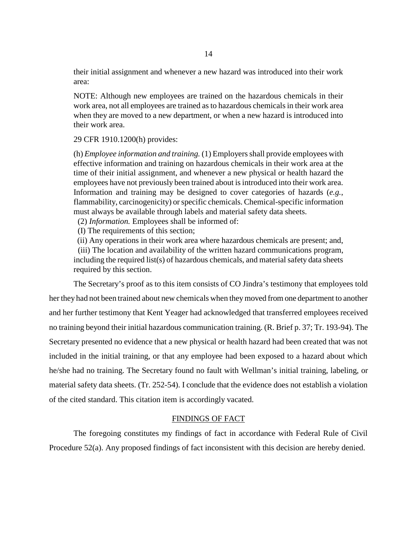their initial assignment and whenever a new hazard was introduced into their work area:

NOTE: Although new employees are trained on the hazardous chemicals in their work area, not all employees are trained as to hazardous chemicals in their work area when they are moved to a new department, or when a new hazard is introduced into their work area.

# 29 CFR 1910.1200(h) provides:

(h) *Employee information and training.* (1) Employers shall provide employees with effective information and training on hazardous chemicals in their work area at the time of their initial assignment, and whenever a new physical or health hazard the employees have not previously been trained about is introduced into their work area. Information and training may be designed to cover categories of hazards (*e.g.*, flammability, carcinogenicity) or specific chemicals. Chemical-specific information must always be available through labels and material safety data sheets.

(2) *Information.* Employees shall be informed of:

(I) The requirements of this section;

(ii) Any operations in their work area where hazardous chemicals are present; and,

 (iii) The location and availability of the written hazard communications program, including the required list(s) of hazardous chemicals, and material safety data sheets required by this section.

The Secretary's proof as to this item consists of CO Jindra's testimony that employees told her they had not been trained about new chemicals when they moved from one department to another and her further testimony that Kent Yeager had acknowledged that transferred employees received no training beyond their initial hazardous communication training. (R. Brief p. 37; Tr. 193-94). The Secretary presented no evidence that a new physical or health hazard had been created that was not included in the initial training, or that any employee had been exposed to a hazard about which he/she had no training. The Secretary found no fault with Wellman's initial training, labeling, or material safety data sheets. (Tr. 252-54). I conclude that the evidence does not establish a violation of the cited standard. This citation item is accordingly vacated.

## FINDINGS OF FACT

The foregoing constitutes my findings of fact in accordance with Federal Rule of Civil Procedure 52(a). Any proposed findings of fact inconsistent with this decision are hereby denied.